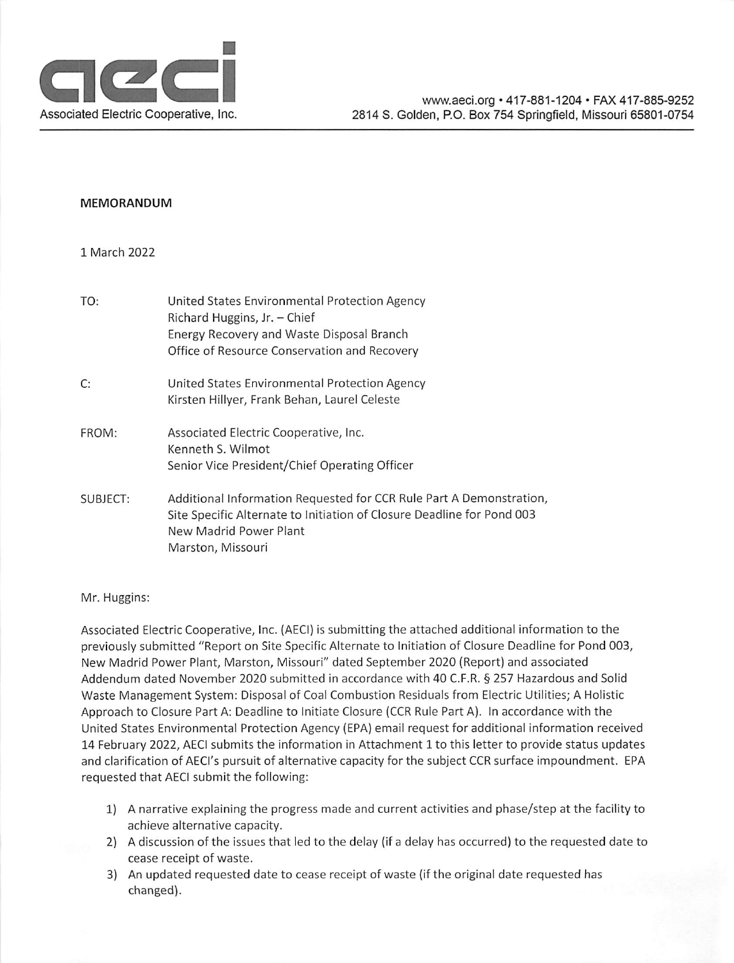

#### **MEMORANDUM**

#### 1 March 2022

| TO:      | United States Environmental Protection Agency<br>Richard Huggins, Jr. - Chief<br>Energy Recovery and Waste Disposal Branch<br>Office of Resource Conservation and Recovery                   |
|----------|----------------------------------------------------------------------------------------------------------------------------------------------------------------------------------------------|
| C:       | United States Environmental Protection Agency<br>Kirsten Hillyer, Frank Behan, Laurel Celeste                                                                                                |
| FROM:    | Associated Electric Cooperative, Inc.<br>Kenneth S. Wilmot<br>Senior Vice President/Chief Operating Officer                                                                                  |
| SUBJECT: | Additional Information Requested for CCR Rule Part A Demonstration,<br>Site Specific Alternate to Initiation of Closure Deadline for Pond 003<br>New Madrid Power Plant<br>Marston, Missouri |

Mr. Huggins:

Associated Electric Cooperative, Inc. (AECI) is submitting the attached additional information to the previously submitted "Report on Site Specific Alternate to Initiation of Closure Deadline for Pond 003, New Madrid Power Plant, Marston, Missouri" dated September 2020 (Report) and associated Addendum dated November 2020 submitted in accordance with 40 C.F.R. § 257 Hazardous and Solid Waste Management System: Disposal of Coal Combustion Residuals from Electric Utilities; A Holistic Approach to Closure Part A: Deadline to Initiate Closure (CCR Rule Part A). In accordance with the United States Environmental Protection Agency (EPA) email request for additional information received 14 February 2022, AECI submits the information in Attachment 1 to this letter to provide status updates and clarification of AECI's pursuit of alternative capacity for the subject CCR surface impoundment. EPA requested that AECI submit the following:

- 1) A narrative explaining the progress made and current activities and phase/step at the facility to achieve alternative capacity.
- 2) A discussion of the issues that led to the delay (if a delay has occurred) to the requested date to cease receipt of waste.
- 3) An updated requested date to cease receipt of waste (if the original date requested has changed).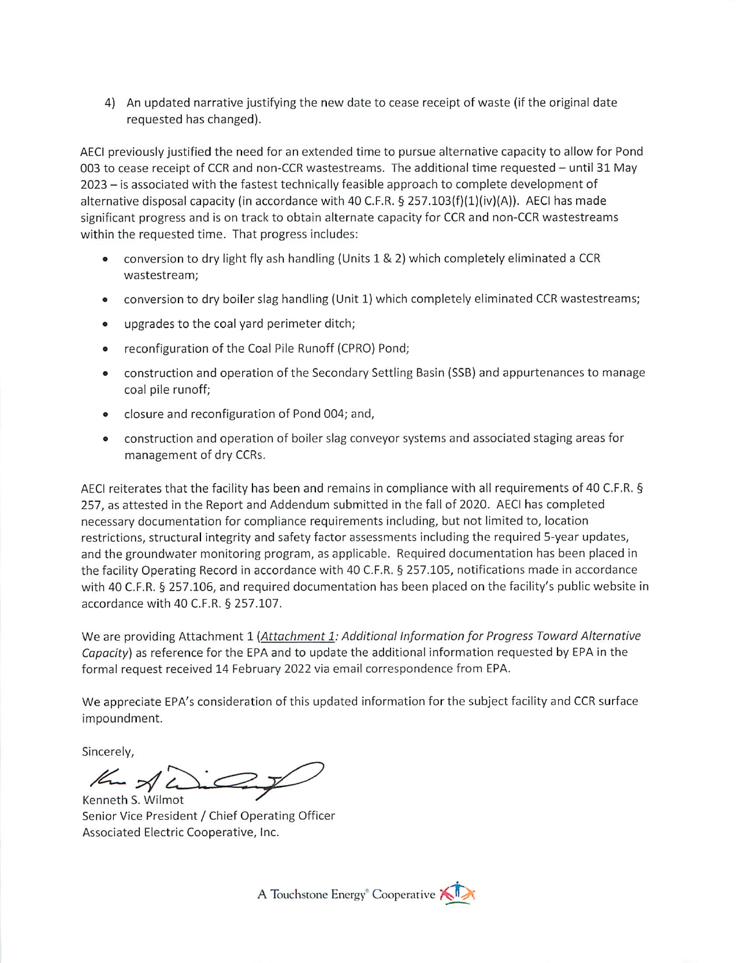4) An updated narrative justifying the new date to cease receipt of waste (if the original date requested has changed).

AECI previously justified the need for an extended time to pursue alternative capacity to allow for Pond 003 to cease receipt of CCR and non-CCR wastestreams. The additional time requested - until 31 May 2023 - is associated with the fastest technically feasible approach to complete development of alternative disposal capacity (in accordance with 40 C.F.R.  $\S$  257.103(f)(1)(iv)(A)). AECI has made significant progress and is on track to obtain alternate capacity for CCR and non-CCR wastestreams within the requested time. That progress includes:

- conversion to dry light fly ash handling (Units 1 & 2) which completely eliminated a CCR  $\bullet$ wastestream;
- conversion to dry boiler slag handling (Unit 1) which completely eliminated CCR wastestreams;  $\bullet$
- upgrades to the coal yard perimeter ditch;
- reconfiguration of the Coal Pile Runoff (CPRO) Pond;  $\bullet$
- construction and operation of the Secondary Settling Basin (SSB) and appurtenances to manage  $\bullet$ coal pile runoff;
- closure and reconfiguration of Pond 004; and,  $\bullet$
- construction and operation of boiler slag conveyor systems and associated staging areas for  $\bullet$ management of dry CCRs.

AECI reiterates that the facility has been and remains in compliance with all requirements of 40 C.F.R. § 257, as attested in the Report and Addendum submitted in the fall of 2020. AECI has completed necessary documentation for compliance requirements including, but not limited to, location restrictions, structural integrity and safety factor assessments including the required 5-year updates, and the groundwater monitoring program, as applicable. Required documentation has been placed in the facility Operating Record in accordance with 40 C.F.R. § 257.105, notifications made in accordance with 40 C.F.R. § 257.106, and required documentation has been placed on the facility's public website in accordance with 40 C.F.R. § 257.107.

We are providing Attachment 1 (Attachment 1: Additional Information for Progress Toward Alternative Capacity) as reference for the EPA and to update the additional information requested by EPA in the formal request received 14 February 2022 via email correspondence from EPA.

We appreciate EPA's consideration of this updated information for the subject facility and CCR surface impoundment.

Sincerely,

Km A L  $\mathbb{Z}$ Kenneth S. Wilmot

Senior Vice President / Chief Operating Officer Associated Electric Cooperative, Inc.

A Touchstone Energy<sup>®</sup> Cooperative A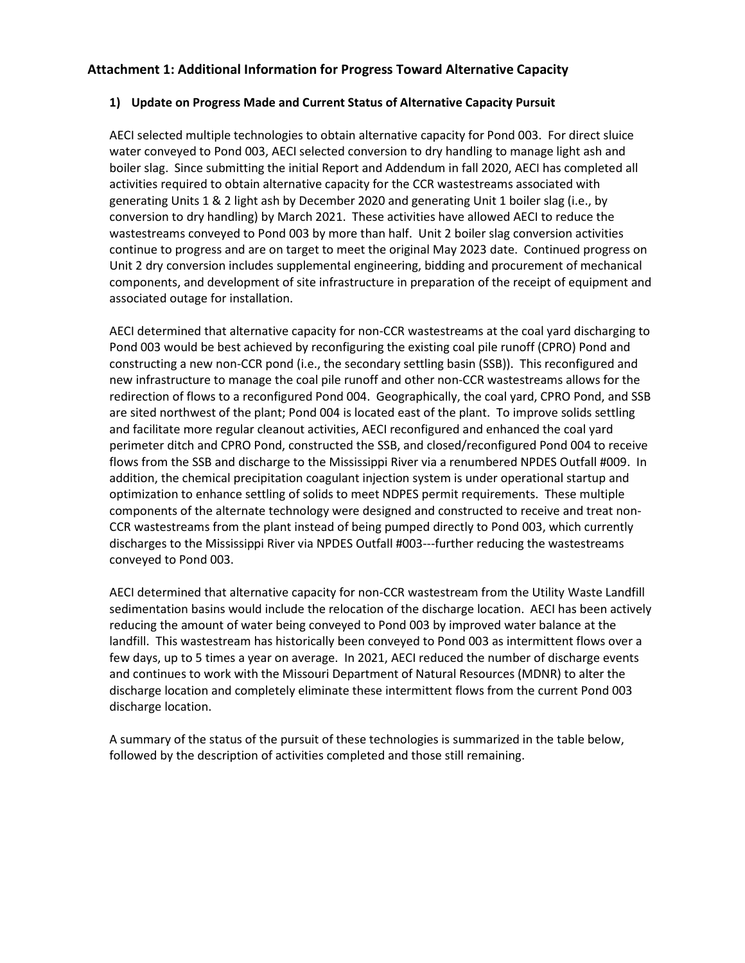# Attachment 1: Additional Information for Progress Toward Alternative Capacity

### 1) Update on Progress Made and Current Status of Alternative Capacity Pursuit

AECI selected multiple technologies to obtain alternative capacity for Pond 003. For direct sluice water conveyed to Pond 003, AECI selected conversion to dry handling to manage light ash and boiler slag. Since submitting the initial Report and Addendum in fall 2020, AECI has completed all activities required to obtain alternative capacity for the CCR wastestreams associated with generating Units 1 & 2 light ash by December 2020 and generating Unit 1 boiler slag (i.e., by conversion to dry handling) by March 2021. These activities have allowed AECI to reduce the wastestreams conveyed to Pond 003 by more than half. Unit 2 boiler slag conversion activities continue to progress and are on target to meet the original May 2023 date. Continued progress on Unit 2 dry conversion includes supplemental engineering, bidding and procurement of mechanical components, and development of site infrastructure in preparation of the receipt of equipment and associated outage for installation.

AECI determined that alternative capacity for non-CCR wastestreams at the coal yard discharging to Pond 003 would be best achieved by reconfiguring the existing coal pile runoff (CPRO) Pond and constructing a new non-CCR pond (i.e., the secondary settling basin (SSB)). This reconfigured and new infrastructure to manage the coal pile runoff and other non-CCR wastestreams allows for the redirection of flows to a reconfigured Pond 004. Geographically, the coal yard, CPRO Pond, and SSB are sited northwest of the plant; Pond 004 is located east of the plant. To improve solids settling and facilitate more regular cleanout activities, AECI reconfigured and enhanced the coal yard perimeter ditch and CPRO Pond, constructed the SSB, and closed/reconfigured Pond 004 to receive flows from the SSB and discharge to the Mississippi River via a renumbered NPDES Outfall #009. In addition, the chemical precipitation coagulant injection system is under operational startup and optimization to enhance settling of solids to meet NDPES permit requirements. These multiple components of the alternate technology were designed and constructed to receive and treat non-CCR wastestreams from the plant instead of being pumped directly to Pond 003, which currently discharges to the Mississippi River via NPDES Outfall #003---further reducing the wastestreams conveyed to Pond 003.

AECI determined that alternative capacity for non-CCR wastestream from the Utility Waste Landfill sedimentation basins would include the relocation of the discharge location. AECI has been actively reducing the amount of water being conveyed to Pond 003 by improved water balance at the landfill. This wastestream has historically been conveyed to Pond 003 as intermittent flows over a few days, up to 5 times a year on average. In 2021, AECI reduced the number of discharge events and continues to work with the Missouri Department of Natural Resources (MDNR) to alter the discharge location and completely eliminate these intermittent flows from the current Pond 003 discharge location.

A summary of the status of the pursuit of these technologies is summarized in the table below, followed by the description of activities completed and those still remaining.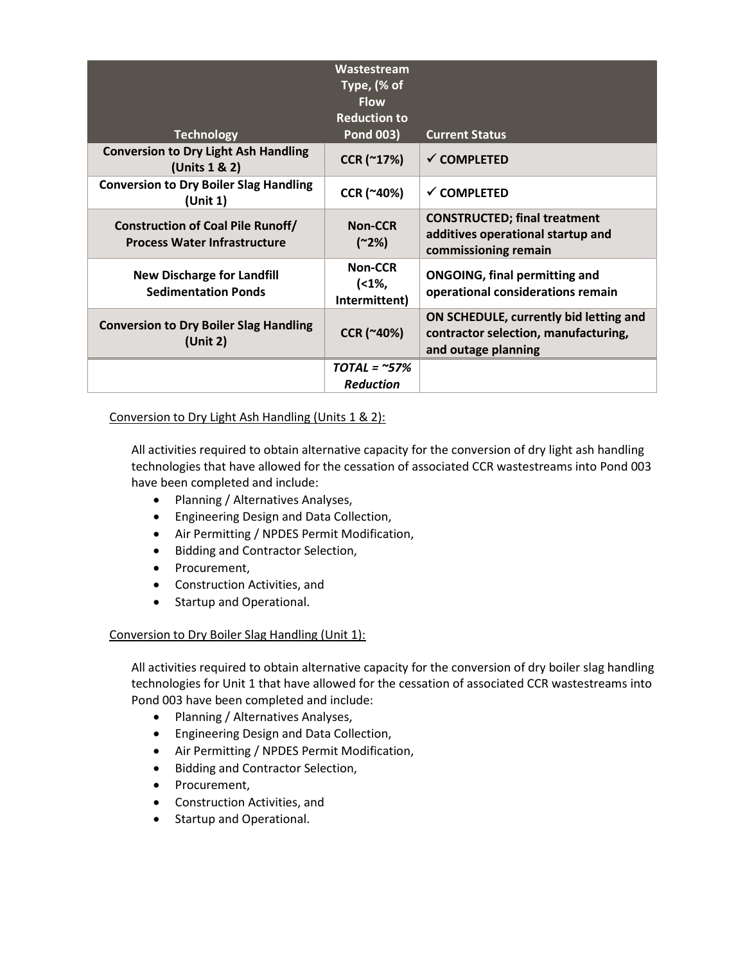| <b>Technology</b>                                                               | Wastestream<br>Type, (% of<br><b>Flow</b><br><b>Reduction to</b><br><b>Pond 003)</b> | <b>Current Status</b>                                                                                 |
|---------------------------------------------------------------------------------|--------------------------------------------------------------------------------------|-------------------------------------------------------------------------------------------------------|
| <b>Conversion to Dry Light Ash Handling</b><br>(Units 1 & 2)                    | CCR (~17%)                                                                           | $\checkmark$ COMPLETED                                                                                |
| <b>Conversion to Dry Boiler Slag Handling</b><br>(Unit 1)                       | CCR (~40%)                                                                           | $\checkmark$ COMPLETED                                                                                |
| <b>Construction of Coal Pile Runoff/</b><br><b>Process Water Infrastructure</b> | <b>Non-CCR</b><br>$(^{2}\frac{2}{6})$                                                | <b>CONSTRUCTED; final treatment</b><br>additives operational startup and<br>commissioning remain      |
| <b>New Discharge for Landfill</b><br><b>Sedimentation Ponds</b>                 | Non-CCR<br>$(1\%,$<br>Intermittent)                                                  | <b>ONGOING, final permitting and</b><br>operational considerations remain                             |
| <b>Conversion to Dry Boiler Slag Handling</b><br>(Unit 2)                       | CCR (~40%)                                                                           | ON SCHEDULE, currently bid letting and<br>contractor selection, manufacturing,<br>and outage planning |
|                                                                                 | $TOTAL = ~57%$                                                                       |                                                                                                       |
|                                                                                 | <b>Reduction</b>                                                                     |                                                                                                       |

### Conversion to Dry Light Ash Handling (Units 1 & 2):

All activities required to obtain alternative capacity for the conversion of dry light ash handling technologies that have allowed for the cessation of associated CCR wastestreams into Pond 003 have been completed and include:

- Planning / Alternatives Analyses,
- Engineering Design and Data Collection,
- Air Permitting / NPDES Permit Modification,
- Bidding and Contractor Selection,
- Procurement,
- Construction Activities, and
- Startup and Operational.

### Conversion to Dry Boiler Slag Handling (Unit 1):

All activities required to obtain alternative capacity for the conversion of dry boiler slag handling technologies for Unit 1 that have allowed for the cessation of associated CCR wastestreams into Pond 003 have been completed and include:

- Planning / Alternatives Analyses,
- Engineering Design and Data Collection,
- Air Permitting / NPDES Permit Modification,
- Bidding and Contractor Selection,
- Procurement,
- Construction Activities, and
- Startup and Operational.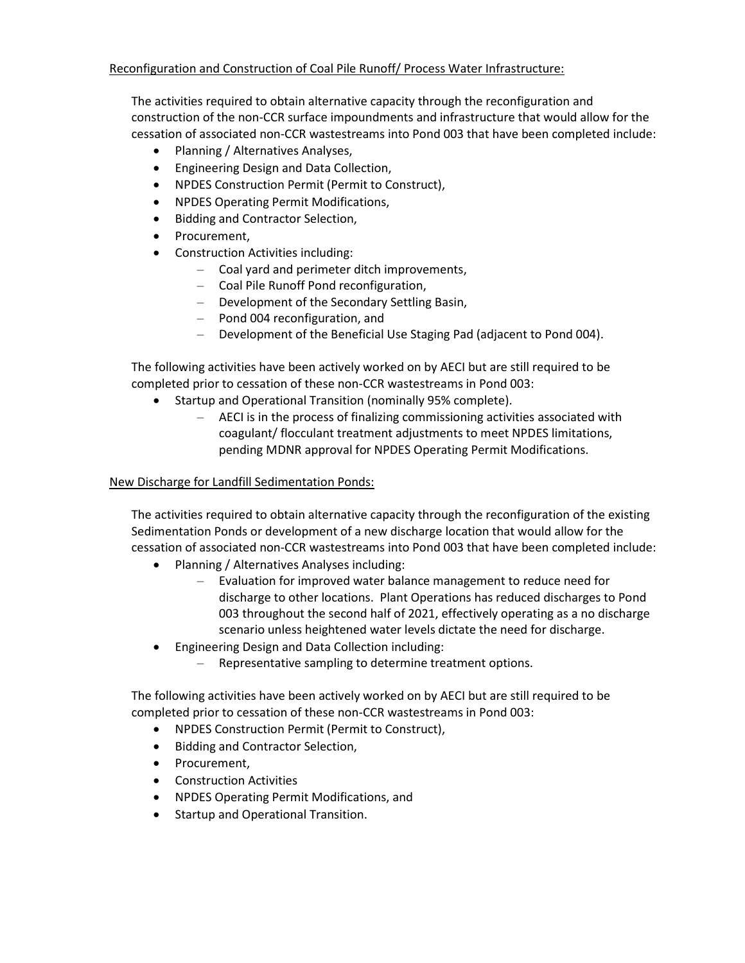## Reconfiguration and Construction of Coal Pile Runoff/ Process Water Infrastructure:

The activities required to obtain alternative capacity through the reconfiguration and construction of the non-CCR surface impoundments and infrastructure that would allow for the cessation of associated non-CCR wastestreams into Pond 003 that have been completed include:

- Planning / Alternatives Analyses,
- Engineering Design and Data Collection,
- NPDES Construction Permit (Permit to Construct),
- NPDES Operating Permit Modifications,
- Bidding and Contractor Selection,
- Procurement,
- Construction Activities including:
	- Coal yard and perimeter ditch improvements,
	- Coal Pile Runoff Pond reconfiguration,
	- Development of the Secondary Settling Basin,
	- Pond 004 reconfiguration, and
	- Development of the Beneficial Use Staging Pad (adjacent to Pond 004).

The following activities have been actively worked on by AECI but are still required to be completed prior to cessation of these non-CCR wastestreams in Pond 003:

- Startup and Operational Transition (nominally 95% complete).
	- AECI is in the process of finalizing commissioning activities associated with coagulant/ flocculant treatment adjustments to meet NPDES limitations, pending MDNR approval for NPDES Operating Permit Modifications.

## New Discharge for Landfill Sedimentation Ponds:

The activities required to obtain alternative capacity through the reconfiguration of the existing Sedimentation Ponds or development of a new discharge location that would allow for the cessation of associated non-CCR wastestreams into Pond 003 that have been completed include:

- Planning / Alternatives Analyses including:
	- Evaluation for improved water balance management to reduce need for discharge to other locations. Plant Operations has reduced discharges to Pond 003 throughout the second half of 2021, effectively operating as a no discharge scenario unless heightened water levels dictate the need for discharge.
- Engineering Design and Data Collection including:
	- Representative sampling to determine treatment options.

The following activities have been actively worked on by AECI but are still required to be completed prior to cessation of these non-CCR wastestreams in Pond 003:

- NPDES Construction Permit (Permit to Construct),
- Bidding and Contractor Selection,
- Procurement,
- Construction Activities
- NPDES Operating Permit Modifications, and
- Startup and Operational Transition.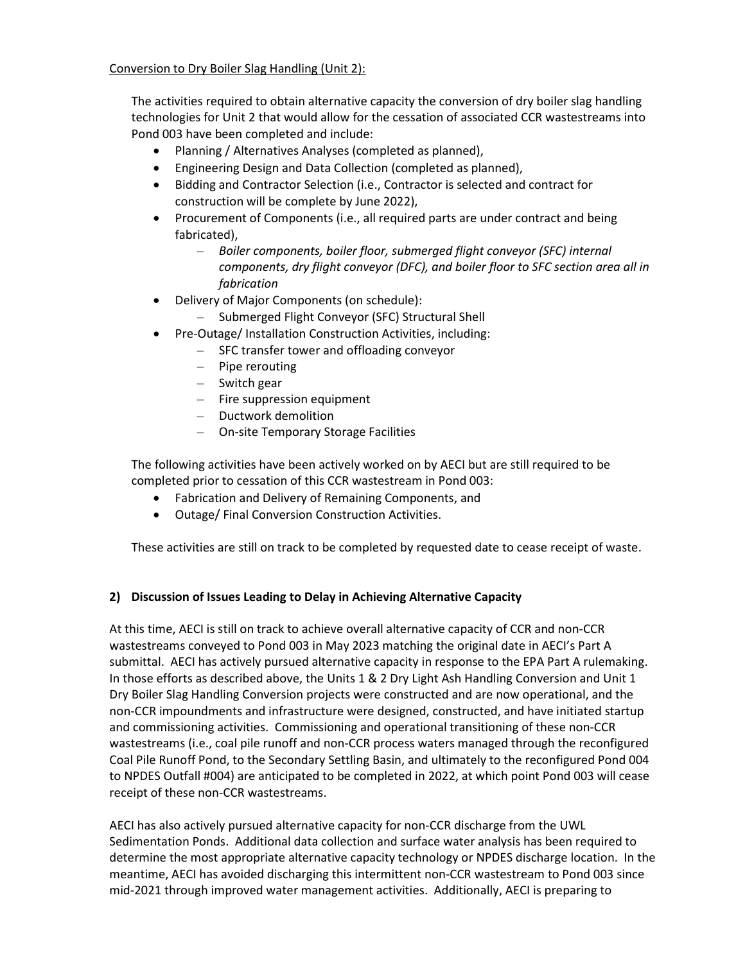Conversion to Dry Boiler Slag Handling (Unit 2):

The activities required to obtain alternative capacity the conversion of dry boiler slag handling technologies for Unit 2 that would allow for the cessation of associated CCR wastestreams into Pond 003 have been completed and include:

- Planning / Alternatives Analyses (completed as planned),
- Engineering Design and Data Collection (completed as planned),
- Bidding and Contractor Selection (i.e., Contractor is selected and contract for construction will be complete by June 2022),
- Procurement of Components (i.e., all required parts are under contract and being fabricated),
	- Boiler components, boiler floor, submerged flight conveyor (SFC) internal components, dry flight conveyor (DFC), and boiler floor to SFC section area all in fabrication
- Delivery of Major Components (on schedule):
	- Submerged Flight Conveyor (SFC) Structural Shell
- Pre-Outage/ Installation Construction Activities, including:
	- SFC transfer tower and offloading conveyor
	- Pipe rerouting
	- Switch gear
	- Fire suppression equipment
	- Ductwork demolition
	- On-site Temporary Storage Facilities

The following activities have been actively worked on by AECI but are still required to be completed prior to cessation of this CCR wastestream in Pond 003:

- Fabrication and Delivery of Remaining Components, and
- Outage/ Final Conversion Construction Activities.

These activities are still on track to be completed by requested date to cease receipt of waste.

# 2) Discussion of Issues Leading to Delay in Achieving Alternative Capacity

At this time, AECI is still on track to achieve overall alternative capacity of CCR and non-CCR wastestreams conveyed to Pond 003 in May 2023 matching the original date in AECI's Part A submittal. AECI has actively pursued alternative capacity in response to the EPA Part A rulemaking. In those efforts as described above, the Units 1 & 2 Dry Light Ash Handling Conversion and Unit 1 Dry Boiler Slag Handling Conversion projects were constructed and are now operational, and the non-CCR impoundments and infrastructure were designed, constructed, and have initiated startup and commissioning activities. Commissioning and operational transitioning of these non-CCR wastestreams (i.e., coal pile runoff and non-CCR process waters managed through the reconfigured Coal Pile Runoff Pond, to the Secondary Settling Basin, and ultimately to the reconfigured Pond 004 to NPDES Outfall #004) are anticipated to be completed in 2022, at which point Pond 003 will cease receipt of these non-CCR wastestreams.

AECI has also actively pursued alternative capacity for non-CCR discharge from the UWL Sedimentation Ponds. Additional data collection and surface water analysis has been required to determine the most appropriate alternative capacity technology or NPDES discharge location. In the meantime, AECI has avoided discharging this intermittent non-CCR wastestream to Pond 003 since mid-2021 through improved water management activities. Additionally, AECI is preparing to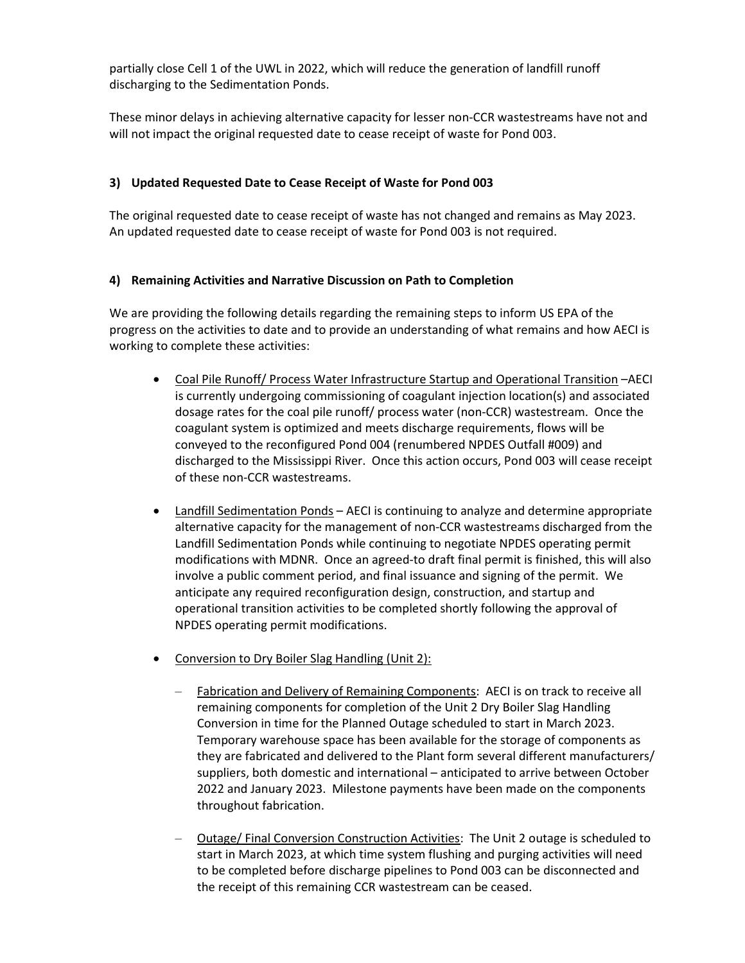partially close Cell 1 of the UWL in 2022, which will reduce the generation of landfill runoff discharging to the Sedimentation Ponds.

These minor delays in achieving alternative capacity for lesser non-CCR wastestreams have not and will not impact the original requested date to cease receipt of waste for Pond 003.

# 3) Updated Requested Date to Cease Receipt of Waste for Pond 003

The original requested date to cease receipt of waste has not changed and remains as May 2023. An updated requested date to cease receipt of waste for Pond 003 is not required.

# 4) Remaining Activities and Narrative Discussion on Path to Completion

We are providing the following details regarding the remaining steps to inform US EPA of the progress on the activities to date and to provide an understanding of what remains and how AECI is working to complete these activities:

- Coal Pile Runoff/ Process Water Infrastructure Startup and Operational Transition –AECI is currently undergoing commissioning of coagulant injection location(s) and associated dosage rates for the coal pile runoff/ process water (non-CCR) wastestream. Once the coagulant system is optimized and meets discharge requirements, flows will be conveyed to the reconfigured Pond 004 (renumbered NPDES Outfall #009) and discharged to the Mississippi River. Once this action occurs, Pond 003 will cease receipt of these non-CCR wastestreams.
- Landfill Sedimentation Ponds AECI is continuing to analyze and determine appropriate alternative capacity for the management of non-CCR wastestreams discharged from the Landfill Sedimentation Ponds while continuing to negotiate NPDES operating permit modifications with MDNR. Once an agreed-to draft final permit is finished, this will also involve a public comment period, and final issuance and signing of the permit. We anticipate any required reconfiguration design, construction, and startup and operational transition activities to be completed shortly following the approval of NPDES operating permit modifications.
- Conversion to Dry Boiler Slag Handling (Unit 2):
	- Fabrication and Delivery of Remaining Components: AECI is on track to receive all remaining components for completion of the Unit 2 Dry Boiler Slag Handling Conversion in time for the Planned Outage scheduled to start in March 2023. Temporary warehouse space has been available for the storage of components as they are fabricated and delivered to the Plant form several different manufacturers/ suppliers, both domestic and international – anticipated to arrive between October 2022 and January 2023. Milestone payments have been made on the components throughout fabrication.
	- Outage/ Final Conversion Construction Activities: The Unit 2 outage is scheduled to start in March 2023, at which time system flushing and purging activities will need to be completed before discharge pipelines to Pond 003 can be disconnected and the receipt of this remaining CCR wastestream can be ceased.